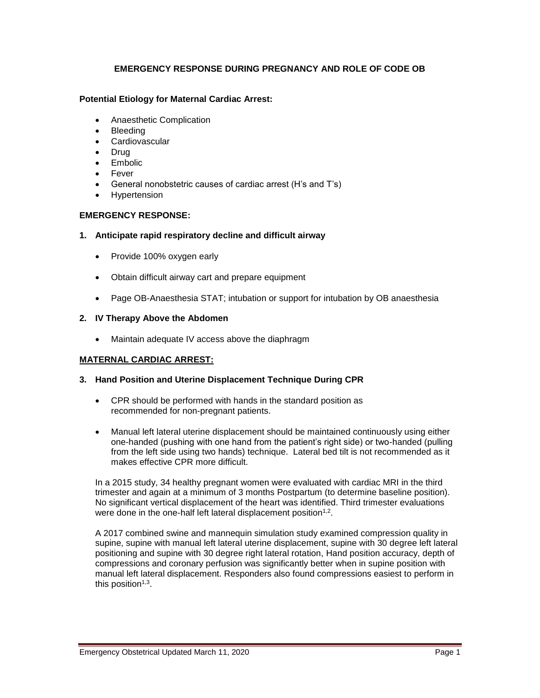## **EMERGENCY RESPONSE DURING PREGNANCY AND ROLE OF CODE OB**

## **Potential Etiology for Maternal Cardiac Arrest:**

- Anaesthetic Complication
- Bleeding
- **Cardiovascular**
- Drug
- Embolic
- Fever
- General nonobstetric causes of cardiac arrest (H's and T's)
- **Hypertension**

## **EMERGENCY RESPONSE:**

- **1. Anticipate rapid respiratory decline and difficult airway**
	- Provide 100% oxygen early
	- Obtain difficult airway cart and prepare equipment
	- Page OB-Anaesthesia STAT; intubation or support for intubation by OB anaesthesia

#### **2. IV Therapy Above the Abdomen**

• Maintain adequate IV access above the diaphragm

#### **MATERNAL CARDIAC ARREST:**

#### **3. Hand Position and Uterine Displacement Technique During CPR**

- CPR should be performed with hands in the standard position as recommended for non-pregnant patients.
- Manual left lateral uterine displacement should be maintained continuously using either one-handed (pushing with one hand from the patient's right side) or two-handed (pulling from the left side using two hands) technique. Lateral bed tilt is not recommended as it makes effective CPR more difficult.

In a 2015 study, 34 healthy pregnant women were evaluated with cardiac MRI in the third trimester and again at a minimum of 3 months Postpartum (to determine baseline position). No significant vertical displacement of the heart was identified. Third trimester evaluations were done in the one-half left lateral displacement position $1,2$ .

A 2017 combined swine and mannequin simulation study examined compression quality in supine, supine with manual left lateral uterine displacement, supine with 30 degree left lateral positioning and supine with 30 degree right lateral rotation, Hand position accuracy, depth of compressions and coronary perfusion was significantly better when in supine position with manual left lateral displacement. Responders also found compressions easiest to perform in this position<sup>1,3</sup>.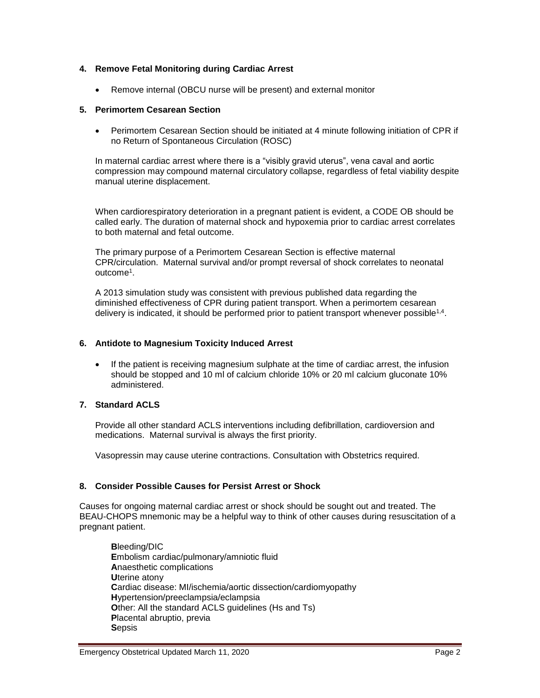## **4. Remove Fetal Monitoring during Cardiac Arrest**

• Remove internal (OBCU nurse will be present) and external monitor

### **5. Perimortem Cesarean Section**

• Perimortem Cesarean Section should be initiated at 4 minute following initiation of CPR if no Return of Spontaneous Circulation (ROSC)

In maternal cardiac arrest where there is a "visibly gravid uterus", vena caval and aortic compression may compound maternal circulatory collapse, regardless of fetal viability despite manual uterine displacement.

When cardiorespiratory deterioration in a pregnant patient is evident, a CODE OB should be called early. The duration of maternal shock and hypoxemia prior to cardiac arrest correlates to both maternal and fetal outcome.

The primary purpose of a Perimortem Cesarean Section is effective maternal CPR/circulation. Maternal survival and/or prompt reversal of shock correlates to neonatal outcome<sup>1</sup>.

A 2013 simulation study was consistent with previous published data regarding the diminished effectiveness of CPR during patient transport. When a perimortem cesarean delivery is indicated, it should be performed prior to patient transport whenever possible<sup>1,4</sup>.

#### **6. Antidote to Magnesium Toxicity Induced Arrest**

• If the patient is receiving magnesium sulphate at the time of cardiac arrest, the infusion should be stopped and 10 ml of calcium chloride 10% or 20 ml calcium gluconate 10% administered.

## **7. Standard ACLS**

Provide all other standard ACLS interventions including defibrillation, cardioversion and medications. Maternal survival is always the first priority.

Vasopressin may cause uterine contractions. Consultation with Obstetrics required.

#### **8. Consider Possible Causes for Persist Arrest or Shock**

Causes for ongoing maternal cardiac arrest or shock should be sought out and treated. The BEAU-CHOPS mnemonic may be a helpful way to think of other causes during resuscitation of a pregnant patient.

**B**leeding/DIC **E**mbolism cardiac/pulmonary/amniotic fluid **A**naesthetic complications **U**terine atony **C**ardiac disease: MI/ischemia/aortic dissection/cardiomyopathy **H**ypertension/preeclampsia/eclampsia **Other: All the standard ACLS guidelines (Hs and Ts) P**lacental abruptio, previa **S**epsis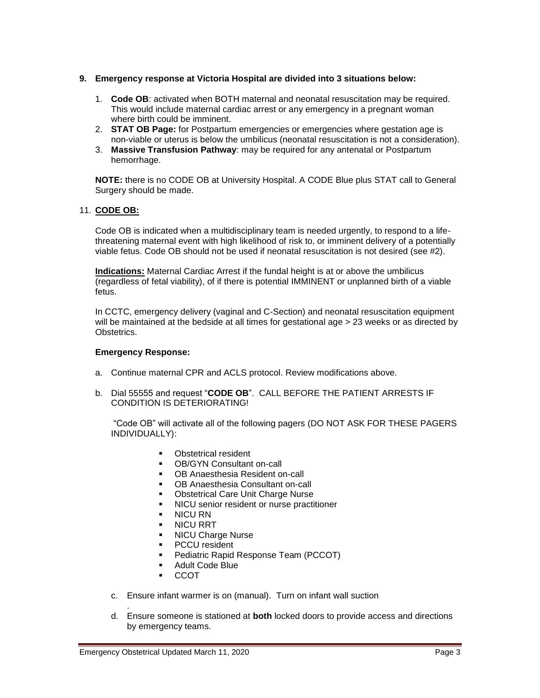## **9. Emergency response at Victoria Hospital are divided into 3 situations below:**

- 1. **Code OB**: activated when BOTH maternal and neonatal resuscitation may be required. This would include maternal cardiac arrest or any emergency in a pregnant woman where birth could be imminent.
- 2. **STAT OB Page:** for Postpartum emergencies or emergencies where gestation age is non-viable or uterus is below the umbilicus (neonatal resuscitation is not a consideration).
- 3. **Massive Transfusion Pathway**: may be required for any antenatal or Postpartum hemorrhage.

**NOTE:** there is no CODE OB at University Hospital. A CODE Blue plus STAT call to General Surgery should be made.

## 11. **CODE OB:**

Code OB is indicated when a multidisciplinary team is needed urgently, to respond to a lifethreatening maternal event with high likelihood of risk to, or imminent delivery of a potentially viable fetus. Code OB should not be used if neonatal resuscitation is not desired (see #2).

**Indications:** Maternal Cardiac Arrest if the fundal height is at or above the umbilicus (regardless of fetal viability), of if there is potential IMMINENT or unplanned birth of a viable fetus.

In CCTC, emergency delivery (vaginal and C-Section) and neonatal resuscitation equipment will be maintained at the bedside at all times for gestational age > 23 weeks or as directed by Obstetrics.

#### **Emergency Response:**

- a. Continue maternal CPR and ACLS protocol. Review modifications above.
- b. Dial 55555 and request "**CODE OB**". CALL BEFORE THE PATIENT ARRESTS IF CONDITION IS DETERIORATING!

"Code OB" will activate all of the following pagers (DO NOT ASK FOR THESE PAGERS INDIVIDUALLY):

- Obstetrical resident
- OB/GYN Consultant on-call
- OB Anaesthesia Resident on-call
- OB Anaesthesia Consultant on-call
- **Obstetrical Care Unit Charge Nurse**
- NICU senior resident or nurse practitioner
- **NICU RN**
- **NICU RRT**
- **NICU Charge Nurse**
- **PCCU** resident
- Pediatric Rapid Response Team (PCCOT)
- Adult Code Blue
- **CCOT**
- c. Ensure infant warmer is on (manual). Turn on infant wall suction
- . d. Ensure someone is stationed at **both** locked doors to provide access and directions by emergency teams.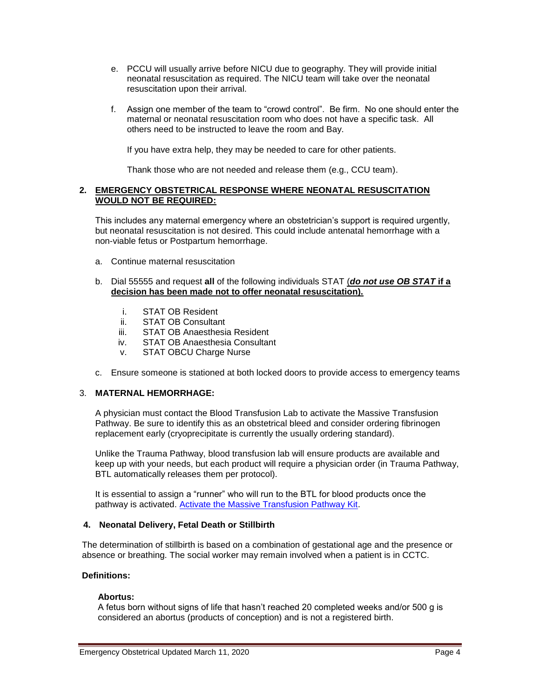- e. PCCU will usually arrive before NICU due to geography. They will provide initial neonatal resuscitation as required. The NICU team will take over the neonatal resuscitation upon their arrival.
- f. Assign one member of the team to "crowd control". Be firm. No one should enter the maternal or neonatal resuscitation room who does not have a specific task. All others need to be instructed to leave the room and Bay.

If you have extra help, they may be needed to care for other patients.

Thank those who are not needed and release them (e.g., CCU team).

## **2. EMERGENCY OBSTETRICAL RESPONSE WHERE NEONATAL RESUSCITATION WOULD NOT BE REQUIRED:**

This includes any maternal emergency where an obstetrician's support is required urgently, but neonatal resuscitation is not desired. This could include antenatal hemorrhage with a non-viable fetus or Postpartum hemorrhage.

- a. Continue maternal resuscitation
- b. Dial 55555 and request **all** of the following individuals STAT (*do not use OB STAT* **if a decision has been made not to offer neonatal resuscitation).** 
	- i. STAT OB Resident
	- ii. STAT OB Consultant
	- iii. STAT OB Anaesthesia Resident
	- iv. STAT OB Anaesthesia Consultant
	- v. STAT OBCU Charge Nurse
- c. Ensure someone is stationed at both locked doors to provide access to emergency teams

## 3. **MATERNAL HEMORRHAGE:**

A physician must contact the Blood Transfusion Lab to activate the Massive Transfusion Pathway. Be sure to identify this as an obstetrical bleed and consider ordering fibrinogen replacement early (cryoprecipitate is currently the usually ordering standard).

Unlike the Trauma Pathway, blood transfusion lab will ensure products are available and keep up with your needs, but each product will require a physician order (in Trauma Pathway, BTL automatically releases them per protocol).

It is essential to assign a "runner" who will run to the BTL for blood products once the pathway is activated. [Activate the Massive Transfusion Pathway Kit.](https://www.lhsc.on.ca/media/2024/download)

#### **4. Neonatal Delivery, Fetal Death or Stillbirth**

The determination of stillbirth is based on a combination of gestational age and the presence or absence or breathing. The social worker may remain involved when a patient is in CCTC.

## **Definitions:**

#### **Abortus:**

A fetus born without signs of life that hasn't reached 20 completed weeks and/or 500 g is considered an abortus (products of conception) and is not a registered birth.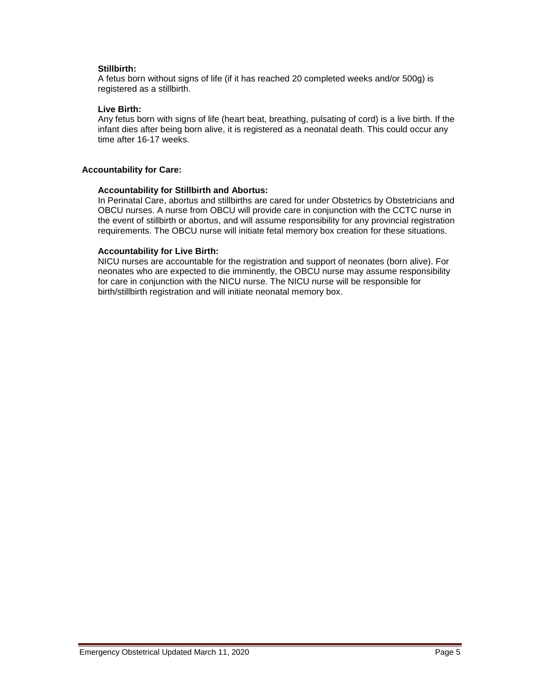## **Stillbirth:**

A fetus born without signs of life (if it has reached 20 completed weeks and/or 500g) is registered as a stillbirth.

## **Live Birth:**

Any fetus born with signs of life (heart beat, breathing, pulsating of cord) is a live birth. If the infant dies after being born alive, it is registered as a neonatal death. This could occur any time after 16-17 weeks.

### **Accountability for Care:**

#### **Accountability for Stillbirth and Abortus:**

In Perinatal Care, abortus and stillbirths are cared for under Obstetrics by Obstetricians and OBCU nurses. A nurse from OBCU will provide care in conjunction with the CCTC nurse in the event of stillbirth or abortus, and will assume responsibility for any provincial registration requirements. The OBCU nurse will initiate fetal memory box creation for these situations.

## **Accountability for Live Birth:**

NICU nurses are accountable for the registration and support of neonates (born alive). For neonates who are expected to die imminently, the OBCU nurse may assume responsibility for care in conjunction with the NICU nurse. The NICU nurse will be responsible for birth/stillbirth registration and will initiate neonatal memory box.